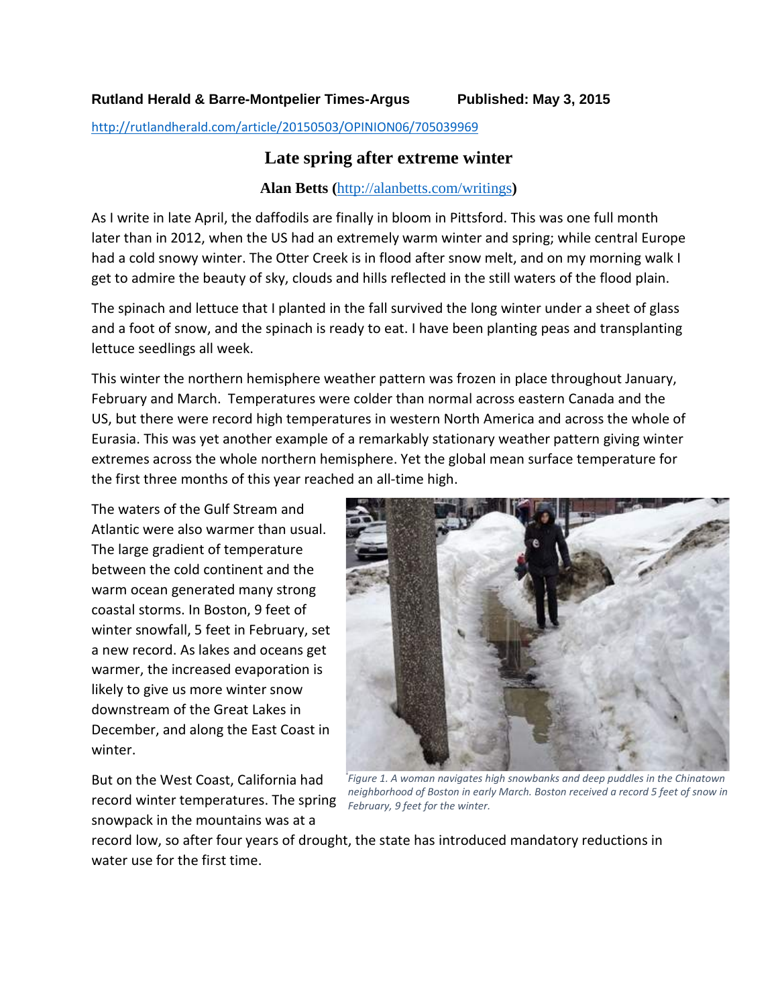<http://rutlandherald.com/article/20150503/OPINION06/705039969>

## **Late spring after extreme winter**

## **Alan Betts (**<http://alanbetts.com/writings>**)**

As I write in late April, the daffodils are finally in bloom in Pittsford. This was one full month later than in 2012, when the US had an extremely warm winter and spring; while central Europe had a cold snowy winter. The Otter Creek is in flood after snow melt, and on my morning walk I get to admire the beauty of sky, clouds and hills reflected in the still waters of the flood plain.

The spinach and lettuce that I planted in the fall survived the long winter under a sheet of glass and a foot of snow, and the spinach is ready to eat. I have been planting peas and transplanting lettuce seedlings all week.

This winter the northern hemisphere weather pattern was frozen in place throughout January, February and March. Temperatures were colder than normal across eastern Canada and the US, but there were record high temperatures in western North America and across the whole of Eurasia. This was yet another example of a remarkably stationary weather pattern giving winter extremes across the whole northern hemisphere. Yet the global mean surface temperature for the first three months of this year reached an all-time high.

The waters of the Gulf Stream and Atlantic were also warmer than usual. The large gradient of temperature between the cold continent and the warm ocean generated many strong coastal storms. In Boston, 9 feet of winter snowfall, 5 feet in February, set a new record. As lakes and oceans get warmer, the increased evaporation is likely to give us more winter snow downstream of the Great Lakes in December, and along the East Coast in winter.

But on the West Coast, California had record winter temperatures. The spring snowpack in the mountains was at a



*Figure 1. A woman navigates high snowbanks and deep puddles in the Chinatown neighborhood of Boston in early March. Boston received a record 5 feet of snow in February, 9 feet for the winter.*

record low, so after four years of drought, the state has introduced mandatory reductions in water use for the first time.